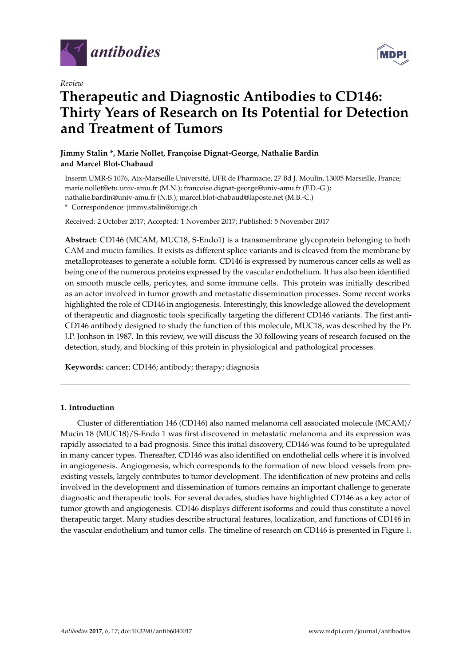

*Review*

# **Therapeutic and Diagnostic Antibodies to CD146: Thirty Years of Research on Its Potential for Detection and Treatment of Tumors**

# **Jimmy Stalin \*, Marie Nollet, Françoise Dignat-George, Nathalie Bardin and Marcel Blot-Chabaud**

Inserm UMR-S 1076, Aix-Marseille Université, UFR de Pharmacie, 27 Bd J. Moulin, 13005 Marseille, France; marie.nollet@etu.univ-amu.fr (M.N.); francoise.dignat-george@univ-amu.fr (F.D.-G.); nathalie.bardin@univ-amu.fr (N.B.); marcel.blot-chabaud@laposte.net (M.B.-C.) **\*** Correspondence: jimmy.stalin@unige.ch

Received: 2 October 2017; Accepted: 1 November 2017; Published: 5 November 2017

**Abstract:** CD146 (MCAM, MUC18, S-Endo1) is a transmembrane glycoprotein belonging to both CAM and mucin families. It exists as different splice variants and is cleaved from the membrane by metalloproteases to generate a soluble form. CD146 is expressed by numerous cancer cells as well as being one of the numerous proteins expressed by the vascular endothelium. It has also been identified on smooth muscle cells, pericytes, and some immune cells. This protein was initially described as an actor involved in tumor growth and metastatic dissemination processes. Some recent works highlighted the role of CD146 in angiogenesis. Interestingly, this knowledge allowed the development of therapeutic and diagnostic tools specifically targeting the different CD146 variants. The first anti-CD146 antibody designed to study the function of this molecule, MUC18, was described by the Pr. J.P. Jonhson in 1987. In this review, we will discuss the 30 following years of research focused on the detection, study, and blocking of this protein in physiological and pathological processes.

**Keywords:** cancer; CD146; antibody; therapy; diagnosis

# **1. Introduction**

Cluster of differentiation 146 (CD146) also named melanoma cell associated molecule (MCAM)/ Mucin 18 (MUC18)/S-Endo 1 was first discovered in metastatic melanoma and its expression was rapidly associated to a bad prognosis. Since this initial discovery, CD146 was found to be upregulated in many cancer types. Thereafter, CD146 was also identified on endothelial cells where it is involved in angiogenesis. Angiogenesis, which corresponds to the formation of new blood vessels from preexisting vessels, largely contributes to tumor development. The identification of new proteins and cells involved in the development and dissemination of tumors remains an important challenge to generate diagnostic and therapeutic tools. For several decades, studies have highlighted CD146 as a key actor of tumor growth and angiogenesis. CD146 displays different isoforms and could thus constitute a novel therapeutic target. Many studies describe structural features, localization, and functions of CD146 in the vascular endothelium and tumor cells. The timeline of research on CD146 is presented in Figure [1.](#page-1-0)

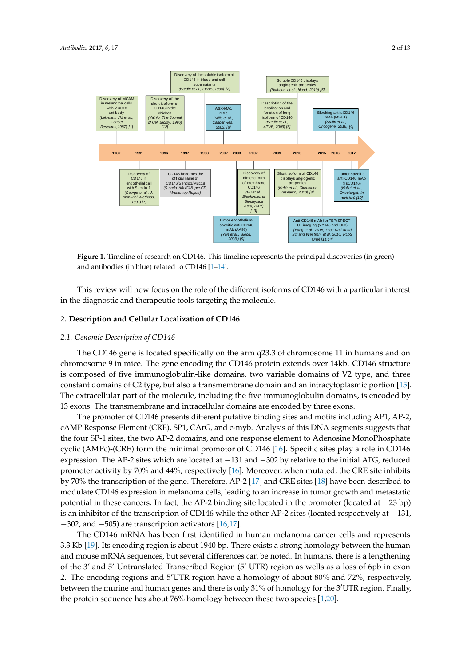<span id="page-1-0"></span>

**Figure 1.** Timeline of research on CD146. This timeline represents the principal discoveries (in green) **Figure 1.** Timeline of research on CD146. This timeline represents the principal discoveries (in green) and antibodies (in blue) related to CD146 [1–14]. and antibodies (in blue) related to CD146 [\[1–](#page-8-0)[14\]](#page-9-0).

This review will now focus on the role of the different isoforms of CD146 with a particular interest in the diagnostic and therapeutic tools targeting the molecule.

#### *2.1. Genomic Description of CD146* **2. Description and Cellular Localization of CD146**

#### $T_{\rm eff}$  generation is located specifically on the arm q23.3 of chromosome 11 in humans and one 11 in humans and one 11 in humans and one 11 in humans and one 11 in humans and one 11 in humans and one 11 in humans and one 2.1. Genomic Description of CD146 structure is *2.1.* Genomic Description of CD146 structure is *2.1.* Cenomic Description of CD146

composed of five immunoscoped of  $\sim$  11 types, three constants of V2 type, and the constant of V2 type, and the constant of V2 type, and the constant of V2 type, and the constant of V2 type, and the constant of V2 type, The CD146 gene is located specifically on the arm  $q23.3$  of chromosome 11 in humans and on chromosome 9 in mice. The gene encoding the CD146 protein extends over 14kb. CD146 structure is composed of five immunoglobulin-like domains, two variable domains of V2 type, and three constant domains of C2 type, but also a transmembrane domain and an intracytoplasmic portion [\[15\]](#page-9-1). 2, cAMP Response Element (CRE), SP1, CArG, and c-myb. Analysis of this DNA segments suggests The extracellular part of the molecule, including the five immunoglobulin domains, is encoded by 13 exons. The transmembrane and intracellular domains are encoded by three exons.

The promoter of CD146 presents different putative binding sites and motifs including AP1, AP-2, cAMP Response Element (CRE), SP1, CArG, and c-myb. Analysis of this DNA segments suggests that  $\overline{C}$ the four SP-1 sites, the two AP-2 domains, and one response element to Adenosine MonoPhosphate cyclic (AMPc)-(CRE) form the minimal promotor of CD146 [\[16\]](#page-9-2). Specific sites play a role in CD146 expression. The AP-2 sites which are located at −131 and −302 by relative to the initial ATG, reduced promoter activity by 70% and 44%, respectively [\[16\]](#page-9-2). Moreover, when mutated, the CRE site inhibits  $T_{\text{max}}$  confirmed in human melanoma cancer cancer cancer cancer cancer cancer cancer cancer cells and represents  $3.3$ by 70% the transcription of the gene. Therefore, AP-2 [\[17\]](#page-9-3) and CRE sites [\[18\]](#page-9-4) have been described to modulate CD146 expression in melanoma cells, leading to an increase in tumor growth and metastatic potential in these cancers. In fact, the AP-2 binding site located in the promoter (located at −23 bp) is an inhibitor of the transcription of CD146 while the other AP-2 sites (located respectively at -131,  $-302$ , and  $-505$ ) are transcription activators [\[16](#page-9-2)[,17\]](#page-9-3).

The CD146 mRNA has been first identified in human melanoma cancer cells and represents 3.3 Kb [\[19\]](#page-9-5). Its encoding region is about 1940 bp. There exists a strong homology between the human and mouse mRNA sequences, but several differences can be noted. In humans, there is a lengthening of the 3' and 5' Untranslated Transcribed Region (5' UTR) region as wells as a loss of 6pb in exon 2. The encoding regions and  $5'$ UTR region have a homology of about 80% and 72%, respectively, between the murine and human genes and there is only  $31\%$  of homology for the  $3'$ UTR region. Finally, the protein sequence has about 76% homology between these two species [\[1](#page-8-0)[,20\]](#page-9-6).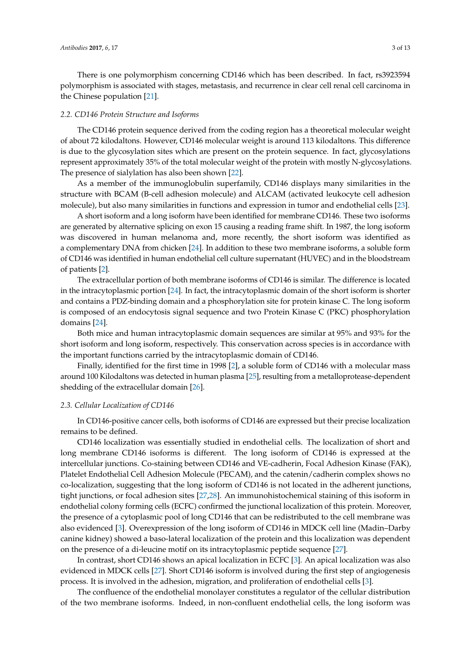There is one polymorphism concerning CD146 which has been described. In fact, rs3923594 polymorphism is associated with stages, metastasis, and recurrence in clear cell renal cell carcinoma in the Chinese population [\[21\]](#page-9-7).

#### *2.2. CD146 Protein Structure and Isoforms*

The CD146 protein sequence derived from the coding region has a theoretical molecular weight of about 72 kilodaltons. However, CD146 molecular weight is around 113 kilodaltons. This difference is due to the glycosylation sites which are present on the protein sequence. In fact, glycosylations represent approximately 35% of the total molecular weight of the protein with mostly N-glycosylations. The presence of sialylation has also been shown [\[22\]](#page-9-8).

As a member of the immunoglobulin superfamily, CD146 displays many similarities in the structure with BCAM (B-cell adhesion molecule) and ALCAM (activated leukocyte cell adhesion molecule), but also many similarities in functions and expression in tumor and endothelial cells [\[23\]](#page-9-9).

A short isoform and a long isoform have been identified for membrane CD146. These two isoforms are generated by alternative splicing on exon 15 causing a reading frame shift. In 1987, the long isoform was discovered in human melanoma and, more recently, the short isoform was identified as a complementary DNA from chicken [\[24\]](#page-10-0). In addition to these two membrane isoforms, a soluble form of CD146 was identified in human endothelial cell culture supernatant (HUVEC) and in the bloodstream of patients [\[2\]](#page-8-1).

The extracellular portion of both membrane isoforms of CD146 is similar. The difference is located in the intracytoplasmic portion [\[24\]](#page-10-0). In fact, the intracytoplasmic domain of the short isoform is shorter and contains a PDZ-binding domain and a phosphorylation site for protein kinase C. The long isoform is composed of an endocytosis signal sequence and two Protein Kinase C (PKC) phosphorylation domains [\[24\]](#page-10-0).

Both mice and human intracytoplasmic domain sequences are similar at 95% and 93% for the short isoform and long isoform, respectively. This conservation across species is in accordance with the important functions carried by the intracytoplasmic domain of CD146.

Finally, identified for the first time in 1998 [\[2\]](#page-8-1), a soluble form of CD146 with a molecular mass around 100 Kilodaltons was detected in human plasma [\[25\]](#page-10-1), resulting from a metalloprotease-dependent shedding of the extracellular domain [\[26\]](#page-10-2).

## *2.3. Cellular Localization of CD146*

In CD146-positive cancer cells, both isoforms of CD146 are expressed but their precise localization remains to be defined.

CD146 localization was essentially studied in endothelial cells. The localization of short and long membrane CD146 isoforms is different. The long isoform of CD146 is expressed at the intercellular junctions. Co-staining between CD146 and VE-cadherin, Focal Adhesion Kinase (FAK), Platelet Endothelial Cell Adhesion Molecule (PECAM), and the catenin/cadherin complex shows no co-localization, suggesting that the long isoform of CD146 is not located in the adherent junctions, tight junctions, or focal adhesion sites [\[27](#page-10-3)[,28\]](#page-10-4). An immunohistochemical staining of this isoform in endothelial colony forming cells (ECFC) confirmed the junctional localization of this protein. Moreover, the presence of a cytoplasmic pool of long CD146 that can be redistributed to the cell membrane was also evidenced [\[3\]](#page-8-2). Overexpression of the long isoform of CD146 in MDCK cell line (Madin–Darby canine kidney) showed a baso-lateral localization of the protein and this localization was dependent on the presence of a di-leucine motif on its intracytoplasmic peptide sequence [\[27\]](#page-10-3).

In contrast, short CD146 shows an apical localization in ECFC [\[3\]](#page-8-2). An apical localization was also evidenced in MDCK cells [\[27\]](#page-10-3). Short CD146 isoform is involved during the first step of angiogenesis process. It is involved in the adhesion, migration, and proliferation of endothelial cells [\[3\]](#page-8-2).

The confluence of the endothelial monolayer constitutes a regulator of the cellular distribution of the two membrane isoforms. Indeed, in non-confluent endothelial cells, the long isoform was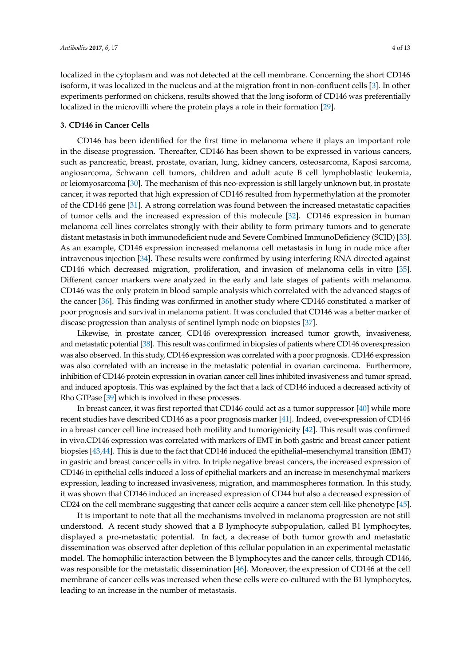localized in the cytoplasm and was not detected at the cell membrane. Concerning the short CD146 isoform, it was localized in the nucleus and at the migration front in non-confluent cells [\[3\]](#page-8-2). In other experiments performed on chickens, results showed that the long isoform of CD146 was preferentially localized in the microvilli where the protein plays a role in their formation [\[29\]](#page-10-5).

## **3. CD146 in Cancer Cells**

CD146 has been identified for the first time in melanoma where it plays an important role in the disease progression. Thereafter, CD146 has been shown to be expressed in various cancers, such as pancreatic, breast, prostate, ovarian, lung, kidney cancers, osteosarcoma, Kaposi sarcoma, angiosarcoma, Schwann cell tumors, children and adult acute B cell lymphoblastic leukemia, or leiomyosarcoma [\[30\]](#page-10-6). The mechanism of this neo-expression is still largely unknown but, in prostate cancer, it was reported that high expression of CD146 resulted from hypermethylation at the promoter of the CD146 gene [\[31\]](#page-10-7). A strong correlation was found between the increased metastatic capacities of tumor cells and the increased expression of this molecule [\[32\]](#page-10-8). CD146 expression in human melanoma cell lines correlates strongly with their ability to form primary tumors and to generate distant metastasis in both immunodeficient nude and Severe Combined ImmunoDeficiency (SCID) [\[33\]](#page-10-9). As an example, CD146 expression increased melanoma cell metastasis in lung in nude mice after intravenous injection [\[34\]](#page-10-10). These results were confirmed by using interfering RNA directed against CD146 which decreased migration, proliferation, and invasion of melanoma cells in vitro [\[35\]](#page-10-11). Different cancer markers were analyzed in the early and late stages of patients with melanoma. CD146 was the only protein in blood sample analysis which correlated with the advanced stages of the cancer [\[36\]](#page-10-12). This finding was confirmed in another study where CD146 constituted a marker of poor prognosis and survival in melanoma patient. It was concluded that CD146 was a better marker of disease progression than analysis of sentinel lymph node on biopsies [\[37\]](#page-10-13).

Likewise, in prostate cancer, CD146 overexpression increased tumor growth, invasiveness, and metastatic potential [\[38\]](#page-10-14). This result was confirmed in biopsies of patients where CD146 overexpression was also observed. In this study, CD146 expression was correlated with a poor prognosis. CD146 expression was also correlated with an increase in the metastatic potential in ovarian carcinoma. Furthermore, inhibition of CD146 protein expression in ovarian cancer cell lines inhibited invasiveness and tumor spread, and induced apoptosis. This was explained by the fact that a lack of CD146 induced a decreased activity of Rho GTPase [\[39\]](#page-10-15) which is involved in these processes.

In breast cancer, it was first reported that CD146 could act as a tumor suppressor [\[40\]](#page-10-16) while more recent studies have described CD146 as a poor prognosis marker [\[41\]](#page-10-17). Indeed, over-expression of CD146 in a breast cancer cell line increased both motility and tumorigenicity [\[42\]](#page-10-18). This result was confirmed in vivo.CD146 expression was correlated with markers of EMT in both gastric and breast cancer patient biopsies [\[43,](#page-11-0)[44\]](#page-11-1). This is due to the fact that CD146 induced the epithelial–mesenchymal transition (EMT) in gastric and breast cancer cells in vitro. In triple negative breast cancers, the increased expression of CD146 in epithelial cells induced a loss of epithelial markers and an increase in mesenchymal markers expression, leading to increased invasiveness, migration, and mammospheres formation. In this study, it was shown that CD146 induced an increased expression of CD44 but also a decreased expression of CD24 on the cell membrane suggesting that cancer cells acquire a cancer stem cell-like phenotype [\[45\]](#page-11-2).

It is important to note that all the mechanisms involved in melanoma progression are not still understood. A recent study showed that a B lymphocyte subpopulation, called B1 lymphocytes, displayed a pro-metastatic potential. In fact, a decrease of both tumor growth and metastatic dissemination was observed after depletion of this cellular population in an experimental metastatic model. The homophilic interaction between the B lymphocytes and the cancer cells, through CD146, was responsible for the metastatic dissemination [\[46\]](#page-11-3). Moreover, the expression of CD146 at the cell membrane of cancer cells was increased when these cells were co-cultured with the B1 lymphocytes, leading to an increase in the number of metastasis.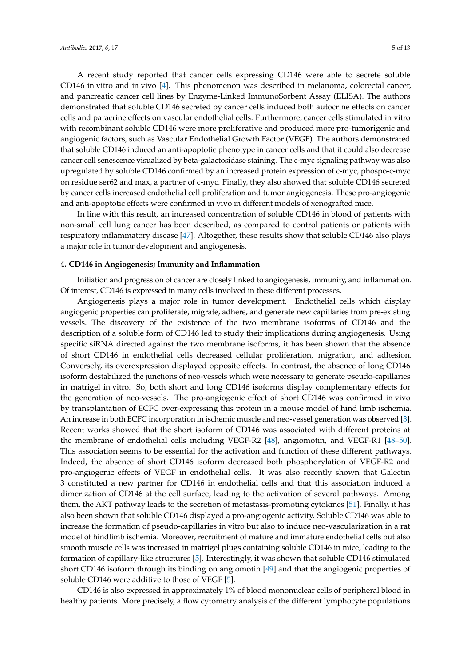A recent study reported that cancer cells expressing CD146 were able to secrete soluble CD146 in vitro and in vivo [\[4\]](#page-8-3). This phenomenon was described in melanoma, colorectal cancer, and pancreatic cancer cell lines by Enzyme-Linked ImmunoSorbent Assay (ELISA). The authors demonstrated that soluble CD146 secreted by cancer cells induced both autocrine effects on cancer cells and paracrine effects on vascular endothelial cells. Furthermore, cancer cells stimulated in vitro with recombinant soluble CD146 were more proliferative and produced more pro-tumorigenic and angiogenic factors, such as Vascular Endothelial Growth Factor (VEGF). The authors demonstrated that soluble CD146 induced an anti-apoptotic phenotype in cancer cells and that it could also decrease cancer cell senescence visualized by beta-galactosidase staining. The c-myc signaling pathway was also upregulated by soluble CD146 confirmed by an increased protein expression of c-myc, phospo-c-myc on residue ser62 and max, a partner of c-myc. Finally, they also showed that soluble CD146 secreted by cancer cells increased endothelial cell proliferation and tumor angiogenesis. These pro-angiogenic and anti-apoptotic effects were confirmed in vivo in different models of xenografted mice.

In line with this result, an increased concentration of soluble CD146 in blood of patients with non-small cell lung cancer has been described, as compared to control patients or patients with respiratory inflammatory disease [\[47\]](#page-11-4). Altogether, these results show that soluble CD146 also plays a major role in tumor development and angiogenesis.

## **4. CD146 in Angiogenesis; Immunity and Inflammation**

Initiation and progression of cancer are closely linked to angiogenesis, immunity, and inflammation. Of interest, CD146 is expressed in many cells involved in these different processes.

Angiogenesis plays a major role in tumor development. Endothelial cells which display angiogenic properties can proliferate, migrate, adhere, and generate new capillaries from pre-existing vessels. The discovery of the existence of the two membrane isoforms of CD146 and the description of a soluble form of CD146 led to study their implications during angiogenesis. Using specific siRNA directed against the two membrane isoforms, it has been shown that the absence of short CD146 in endothelial cells decreased cellular proliferation, migration, and adhesion. Conversely, its overexpression displayed opposite effects. In contrast, the absence of long CD146 isoform destabilized the junctions of neo-vessels which were necessary to generate pseudo-capillaries in matrigel in vitro. So, both short and long CD146 isoforms display complementary effects for the generation of neo-vessels. The pro-angiogenic effect of short CD146 was confirmed in vivo by transplantation of ECFC over-expressing this protein in a mouse model of hind limb ischemia. An increase in both ECFC incorporation in ischemic muscle and neo-vessel generation was observed [\[3\]](#page-8-2). Recent works showed that the short isoform of CD146 was associated with different proteins at the membrane of endothelial cells including VEGF-R2 [\[48\]](#page-11-5), angiomotin, and VEGF-R1 [\[48–](#page-11-5)[50\]](#page-11-6). This association seems to be essential for the activation and function of these different pathways. Indeed, the absence of short CD146 isoform decreased both phosphorylation of VEGF-R2 and pro-angiogenic effects of VEGF in endothelial cells. It was also recently shown that Galectin 3 constituted a new partner for CD146 in endothelial cells and that this association induced a dimerization of CD146 at the cell surface, leading to the activation of several pathways. Among them, the AKT pathway leads to the secretion of metastasis-promoting cytokines [\[51\]](#page-11-7). Finally, it has also been shown that soluble CD146 displayed a pro-angiogenic activity. Soluble CD146 was able to increase the formation of pseudo-capillaries in vitro but also to induce neo-vascularization in a rat model of hindlimb ischemia. Moreover, recruitment of mature and immature endothelial cells but also smooth muscle cells was increased in matrigel plugs containing soluble CD146 in mice, leading to the formation of capillary-like structures [\[5\]](#page-8-4). Interestingly, it was shown that soluble CD146 stimulated short CD146 isoform through its binding on angiomotin [\[49\]](#page-11-8) and that the angiogenic properties of soluble CD146 were additive to those of VEGF [\[5\]](#page-8-4).

CD146 is also expressed in approximately 1% of blood mononuclear cells of peripheral blood in healthy patients. More precisely, a flow cytometry analysis of the different lymphocyte populations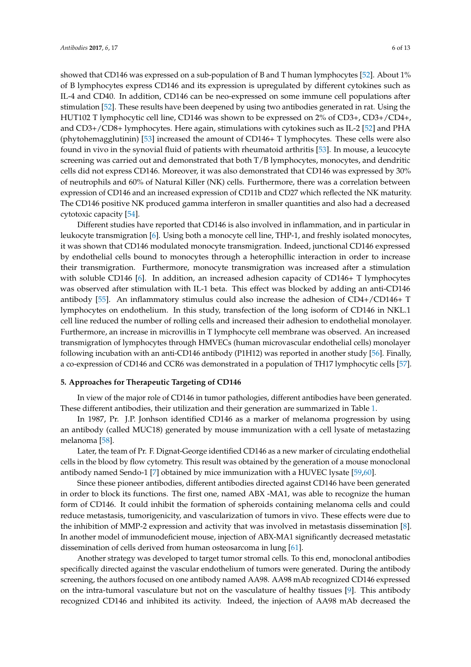showed that CD146 was expressed on a sub-population of B and T human lymphocytes [\[52\]](#page-11-9). About 1% of B lymphocytes express CD146 and its expression is upregulated by different cytokines such as IL-4 and CD40. In addition, CD146 can be neo-expressed on some immune cell populations after stimulation [\[52\]](#page-11-9). These results have been deepened by using two antibodies generated in rat. Using the HUT102 T lymphocytic cell line, CD146 was shown to be expressed on 2% of CD3+, CD3+/CD4+, and CD3+/CD8+ lymphocytes. Here again, stimulations with cytokines such as IL-2 [\[52\]](#page-11-9) and PHA (phytohemagglutinin) [\[53\]](#page-11-10) increased the amount of CD146+ T lymphocytes. These cells were also found in vivo in the synovial fluid of patients with rheumatoid arthritis [\[53\]](#page-11-10). In mouse, a leucocyte screening was carried out and demonstrated that both T/B lymphocytes, monocytes, and dendritic cells did not express CD146. Moreover, it was also demonstrated that CD146 was expressed by 30% of neutrophils and 60% of Natural Killer (NK) cells. Furthermore, there was a correlation between expression of CD146 and an increased expression of CD11b and CD27 which reflected the NK maturity. The CD146 positive NK produced gamma interferon in smaller quantities and also had a decreased cytotoxic capacity [\[54\]](#page-11-11).

Different studies have reported that CD146 is also involved in inflammation, and in particular in leukocyte transmigration [\[6\]](#page-9-10). Using both a monocyte cell line, THP-1, and freshly isolated monocytes, it was shown that CD146 modulated monocyte transmigration. Indeed, junctional CD146 expressed by endothelial cells bound to monocytes through a heterophillic interaction in order to increase their transmigration. Furthermore, monocyte transmigration was increased after a stimulation with soluble CD146 [\[6\]](#page-9-10). In addition, an increased adhesion capacity of CD146+ T lymphocytes was observed after stimulation with IL-1 beta. This effect was blocked by adding an anti-CD146 antibody [\[55\]](#page-11-12). An inflammatory stimulus could also increase the adhesion of CD4+/CD146+ T lymphocytes on endothelium. In this study, transfection of the long isoform of CD146 in NKL.1 cell line reduced the number of rolling cells and increased their adhesion to endothelial monolayer. Furthermore, an increase in microvillis in T lymphocyte cell membrane was observed. An increased transmigration of lymphocytes through HMVECs (human microvascular endothelial cells) monolayer following incubation with an anti-CD146 antibody (P1H12) was reported in another study [\[56\]](#page-11-13). Finally, a co-expression of CD146 and CCR6 was demonstrated in a population of TH17 lymphocytic cells [\[57\]](#page-11-14).

#### **5. Approaches for Therapeutic Targeting of CD146**

In view of the major role of CD146 in tumor pathologies, different antibodies have been generated. These different antibodies, their utilization and their generation are summarized in Table [1.](#page-6-0)

In 1987, Pr. J.P. Jonhson identified CD146 as a marker of melanoma progression by using an antibody (called MUC18) generated by mouse immunization with a cell lysate of metastazing melanoma [\[58\]](#page-11-15).

Later, the team of Pr. F. Dignat-George identified CD146 as a new marker of circulating endothelial cells in the blood by flow cytometry. This result was obtained by the generation of a mouse monoclonal antibody named Sendo-1 [\[7\]](#page-9-11) obtained by mice immunization with a HUVEC lysate [\[59](#page-11-16)[,60\]](#page-11-17).

Since these pioneer antibodies, different antibodies directed against CD146 have been generated in order to block its functions. The first one, named ABX -MA1, was able to recognize the human form of CD146. It could inhibit the formation of spheroids containing melanoma cells and could reduce metastasis, tumorigenicity, and vascularization of tumors in vivo. These effects were due to the inhibition of MMP-2 expression and activity that was involved in metastasis dissemination [\[8\]](#page-9-12). In another model of immunodeficient mouse, injection of ABX-MA1 significantly decreased metastatic dissemination of cells derived from human osteosarcoma in lung [\[61\]](#page-12-0).

Another strategy was developed to target tumor stromal cells. To this end, monoclonal antibodies specifically directed against the vascular endothelium of tumors were generated. During the antibody screening, the authors focused on one antibody named AA98. AA98 mAb recognized CD146 expressed on the intra-tumoral vasculature but not on the vasculature of healthy tissues [\[9\]](#page-9-13). This antibody recognized CD146 and inhibited its activity. Indeed, the injection of AA98 mAb decreased the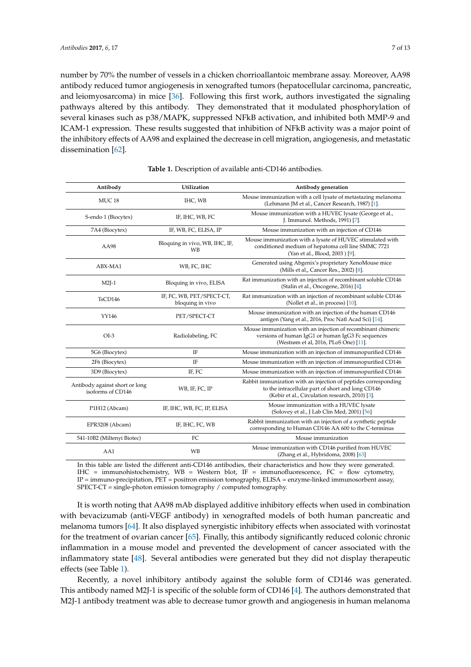number by 70% the number of vessels in a chicken chorrioallantoic membrane assay. Moreover, AA98 antibody reduced tumor angiogenesis in xenografted tumors (hepatocellular carcinoma, pancreatic, and leiomyosarcoma) in mice [\[36\]](#page-10-12). Following this first work, authors investigated the signaling pathways altered by this antibody. They demonstrated that it modulated phosphorylation of several kinases such as p38/MAPK, suppressed NFkB activation, and inhibited both MMP-9 and ICAM-1 expression. These results suggested that inhibition of NFkB activity was a major point of the inhibitory effects of AA98 and explained the decrease in cell migration, angiogenesis, and metastatic dissemination [\[62\]](#page-12-1).

<span id="page-6-0"></span>

| Antibody                                            | Utilization                                   | Antibody generation                                                                                                                                                     |
|-----------------------------------------------------|-----------------------------------------------|-------------------------------------------------------------------------------------------------------------------------------------------------------------------------|
| MUC <sub>18</sub>                                   | IHC, WB                                       | Mouse immunization with a cell lysate of metastazing melanoma<br>(Lehmann JM et al., Cancer Research, 1987) [1].                                                        |
| S-endo 1 (Biocytex)                                 | IF, IHC, WB, FC                               | Mouse immunization with a HUVEC lysate (George et al.,<br>J. Immunol. Methods, 1991) [7].                                                                               |
| 7A4 (Biocytex)                                      | IF, WB, FC, ELISA, IP                         | Mouse immunization with an injection of CD146                                                                                                                           |
| AA98                                                | Bloquing in vivo, WB, IHC, IF,<br>WB          | Mouse immunization with a lysate of HUVEC stimulated with<br>conditioned medium of hepatoma cell line SMMC 7721<br>(Yan et al., Blood, 2003) [9].                       |
| ABX-MA1                                             | WB, FC, IHC                                   | Generated using Abgenix's proprietary XenoMouse mice<br>(Mills et al., Cancer Res., 2002) [8].                                                                          |
| $M2J-1$                                             | Bloquing in vivo, ELISA                       | Rat immunization with an injection of recombinant soluble CD146<br>(Stalin et al., Oncogene, 2016) [4].                                                                 |
| TsCD146                                             | IF, FC, WB, PET/SPECT-CT,<br>bloquing in vivo | Rat immunization with an injection of recombinant soluble CD146<br>(Nollet et al., in process) [10].                                                                    |
| YY146                                               | PET/SPECT-CT                                  | Mouse immunization with an injection of the human CD146<br>antigen (Yang et al., 2016, Proc Natl Acad Sci) [14].                                                        |
| $OI-3$                                              | Radiolabeling, FC                             | Mouse immunization with an injection of recombinant chimeric<br>versions of human IgG1 or human IgG3 Fc sequences<br>(Westrøm et al, 2016, PLoS One) [11].              |
| 5G6 (Biocytex)                                      | ΙF                                            | Mouse immunization with an injection of immunopurified CD146                                                                                                            |
| 2F6 (Biocytex)                                      | <b>IF</b>                                     | Mouse immunization with an injection of immunopurified CD146                                                                                                            |
| 3D9 (Biocytex)                                      | IF, FC                                        | Mouse immunization with an injection of immunopurified CD146                                                                                                            |
| Antibody against short or long<br>isoforms of CD146 | WB, IF, FC, IP                                | Rabbit immunization with an injection of peptides corresponding<br>to the intracellular part of short and long CD146<br>(Kebir et al., Circulation research, 2010) [3]. |
| P1H12 (Abcam)                                       | IF, IHC, WB, FC, IP, ELISA                    | Mouse immunization with a HUVEC lysate<br>(Solovey et al., J Lab Clin Med, 2001) [56]                                                                                   |
| EPR3208 (Abcam)                                     | IF, IHC, FC, WB                               | Rabbit immunization with an injection of a synthetic peptide<br>corresponding to Human CD146 AA 600 to the C-terminus                                                   |
| 541-10B2 (Miltenyi Biotec)                          | FC                                            | Mouse immunization                                                                                                                                                      |
| AA1                                                 | <b>WB</b>                                     | Mouse immunization with CD146 purified from HUVEC<br>(Zhang et al., Hybridoma, 2008) [63]                                                                               |

**Table 1.** Description of available anti-CD146 antibodies.

In this table are listed the different anti-CD146 antibodies, their characteristics and how they were generated. IHC = immunohistochemistry, WB = Western blot, IF = immunofluorescence, FC = flow cytometry, IP = immuno-precipitation, PET = positron emission tomography, ELISA = enzyme-linked immunosorbent assay, SPECT-CT = single-photon emission tomography / computed tomography.

It is worth noting that AA98 mAb displayed additive inhibitory effects when used in combination with bevacizumab (anti-VEGF antibody) in xenografted models of both human pancreatic and melanoma tumors [\[64\]](#page-12-3). It also displayed synergistic inhibitory effects when associated with vorinostat for the treatment of ovarian cancer [\[65\]](#page-12-4). Finally, this antibody significantly reduced colonic chronic inflammation in a mouse model and prevented the development of cancer associated with the inflammatory state [\[48\]](#page-11-5). Several antibodies were generated but they did not display therapeutic effects (see Table [1\)](#page-6-0).

Recently, a novel inhibitory antibody against the soluble form of CD146 was generated. This antibody named M2J-1 is specific of the soluble form of CD146 [\[4\]](#page-8-3). The authors demonstrated that M2J-1 antibody treatment was able to decrease tumor growth and angiogenesis in human melanoma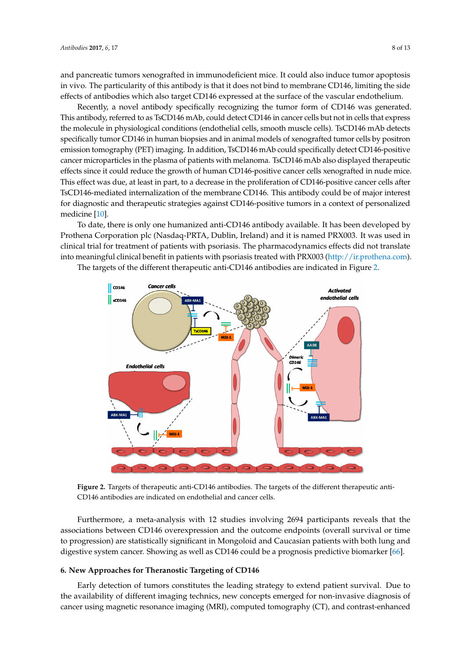and pancreatic tumors xenografted in immunodeficient mice. It could also induce tumor apoptosis and pancreatic tumors xenografted in immunodeficient mice. It could also induce tumor apoptosis in vivo. The particularity of this antibody is that it does not bind to membrane CD146, limiting the side effects of antibodies which also target CD146 expressed at the surface of the vascular endothelium.

Recently, a novel antibody specifically recognizing the tumor form of CD146 was generated. This antibody, referred to as TsCD146 mAb, could detect CD146 in cancer cells but not in cells that express the molecule in physiological conditions (endothelial cells, smooth muscle cells). TsCD146 mAb detects specifically tumor CD146 in human biopsies and in animal models of xenografted tumor cells by positron emission tomography (PET) imaging. In addition, TsCD146 mAb could specifically detect CD146-positive cancer microparticles in the plasma of patients with melanoma. TsCD146 mAb also displayed therapeutic effects since it could reduce the growth of human CD146-positive cancer cells xenografted in nude mice. This effect was due, at least in part, to a decrease in the proliferation of CD146-positive cancer cells after TsCD146-mediated internalization of the membrane CD146. This antibody could be of major interest for diagnostic and therapeutic strategies against CD146-positive tumors in a context of personalized medicine [\[10\]](#page-9-14).  $T_{\text{max}}$  referred to as TsCD146 mab, could detect CD146 mathematics choice in  $\frac{1}{2}$ tumor and therapeutic strategies against C.  $T_{\rm tot}$  one humanized anti-CD146 anti-CD146 anti-CD146 anti-CD146 anti-CD146 anti-CD146 anti-CD146 anti-CD146 anti-CD146 anti-CD146 anti-CD146 anti-CD146 anti-CD146 anti-CD146 anti-CD146 anti-CD146 anti-CD146 anti-CD146

To date, there is only one humanized anti-CD146 antibody available. It has been developed by Prothena Corporation plc (Nasdaq-PRTA, Dublin, Ireland) and it is named PRX003. It was used in clinical trial for treatment of patients with psoriasis. The pharmacodynamics effects did not translate into meaningful clinical benefit in patients with psoriasis treated with PRX003 [\(http://ir.prothena.com\)](http://ir.prothena.com). (http://ir.prothena.com).

<span id="page-7-0"></span>The targets of the different therapeutic anti-CD146 antibodies are indicated in Figure [2.](#page-7-0) The targets of the different therapeutic anti-CD146 antibodies are indicated in Figure 2.



**Figure 2.** Targets of therapeutic anti-CD146 antibodies. The targets of the different therapeutic anti-**Figure 2.** Targets of therapeutic anti-CD146 antibodies. The targets of the different therapeutic anti-CD146 antibodies are indicated on endothelial and cancer cells. CD146 antibodies are indicated on endothelial and cancer cells.

Furthermore, a meta-analysis with 12 studies involving 2694 participants reveals that the associations between CD146 overexpression and the outcome endpoints (overall survival or time to progression) are statistically significant in Mongoloid and Caucasian patients with both lung and digestive system cancer. Showing as well as CD146 could be a prognosis predictive biomarker [\[66\]](#page-12-5).

### **6. New Approaches for Theranostic Targeting of CD146**

Early detection of tumors constitutes the leading strategy to extend patient survival. Due to the availability of different imaging technics, new concepts emerged for non-invasive diagnosis of cancer using magnetic resonance imaging (MRI), computed tomography (CT), and contrast-enhanced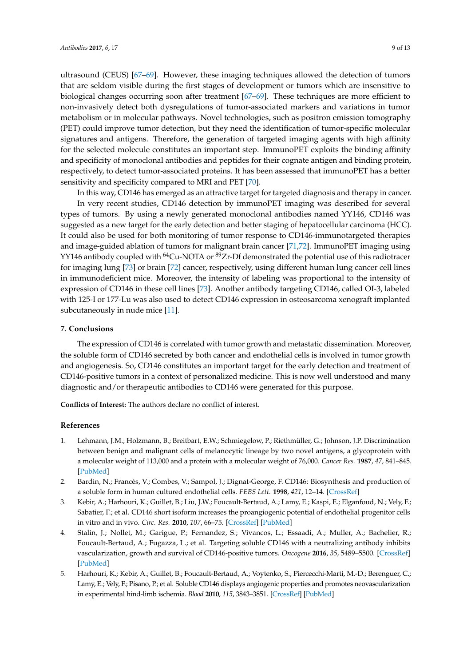ultrasound (CEUS) [\[67–](#page-12-6)[69\]](#page-12-7). However, these imaging techniques allowed the detection of tumors that are seldom visible during the first stages of development or tumors which are insensitive to biological changes occurring soon after treatment [\[67–](#page-12-6)[69\]](#page-12-7). These techniques are more efficient to non-invasively detect both dysregulations of tumor-associated markers and variations in tumor metabolism or in molecular pathways. Novel technologies, such as positron emission tomography (PET) could improve tumor detection, but they need the identification of tumor-specific molecular signatures and antigens. Therefore, the generation of targeted imaging agents with high affinity for the selected molecule constitutes an important step. ImmunoPET exploits the binding affinity and specificity of monoclonal antibodies and peptides for their cognate antigen and binding protein, respectively, to detect tumor-associated proteins. It has been assessed that immunoPET has a better sensitivity and specificity compared to MRI and PET [\[70\]](#page-12-8).

In this way, CD146 has emerged as an attractive target for targeted diagnosis and therapy in cancer.

In very recent studies, CD146 detection by immunoPET imaging was described for several types of tumors. By using a newly generated monoclonal antibodies named YY146, CD146 was suggested as a new target for the early detection and better staging of hepatocellular carcinoma (HCC). It could also be used for both monitoring of tumor response to CD146-immunotargeted therapies and image-guided ablation of tumors for malignant brain cancer [\[71](#page-12-9)[,72\]](#page-12-10). ImmunoPET imaging using YY146 antibody coupled with <sup>64</sup>Cu-NOTA or <sup>89</sup>Zr-Df demonstrated the potential use of this radiotracer for imaging lung [\[73\]](#page-12-11) or brain [\[72\]](#page-12-10) cancer, respectively, using different human lung cancer cell lines in immunodeficient mice. Moreover, the intensity of labeling was proportional to the intensity of expression of CD146 in these cell lines [\[73\]](#page-12-11). Another antibody targeting CD146, called OI-3, labeled with 125-I or 177-Lu was also used to detect CD146 expression in osteosarcoma xenograft implanted subcutaneously in nude mice [\[11\]](#page-9-15).

## **7. Conclusions**

The expression of CD146 is correlated with tumor growth and metastatic dissemination. Moreover, the soluble form of CD146 secreted by both cancer and endothelial cells is involved in tumor growth and angiogenesis. So, CD146 constitutes an important target for the early detection and treatment of CD146-positive tumors in a context of personalized medicine. This is now well understood and many diagnostic and/or therapeutic antibodies to CD146 were generated for this purpose.

**Conflicts of Interest:** The authors declare no conflict of interest.

## **References**

- <span id="page-8-0"></span>1. Lehmann, J.M.; Holzmann, B.; Breitbart, E.W.; Schmiegelow, P.; Riethmüller, G.; Johnson, J.P. Discrimination between benign and malignant cells of melanocytic lineage by two novel antigens, a glycoprotein with a molecular weight of 113,000 and a protein with a molecular weight of 76,000. *Cancer Res.* **1987**, *47*, 841–845. [\[PubMed\]](http://www.ncbi.nlm.nih.gov/pubmed/3542195)
- <span id="page-8-1"></span>2. Bardin, N.; Francès, V.; Combes, V.; Sampol, J.; Dignat-George, F. CD146: Biosynthesis and production of a soluble form in human cultured endothelial cells. *FEBS Lett.* **1998**, *421*, 12–14. [\[CrossRef\]](http://dx.doi.org/10.1016/S0014-5793(97)01455-5)
- <span id="page-8-2"></span>3. Kebir, A.; Harhouri, K.; Guillet, B.; Liu, J.W.; Foucault-Bertaud, A.; Lamy, E.; Kaspi, E.; Elganfoud, N.; Vely, F.; Sabatier, F.; et al. CD146 short isoform increases the proangiogenic potential of endothelial progenitor cells in vitro and in vivo. *Circ. Res.* **2010**, *107*, 66–75. [\[CrossRef\]](http://dx.doi.org/10.1161/CIRCRESAHA.109.213827) [\[PubMed\]](http://www.ncbi.nlm.nih.gov/pubmed/20448216)
- <span id="page-8-3"></span>4. Stalin, J.; Nollet, M.; Garigue, P.; Fernandez, S.; Vivancos, L.; Essaadi, A.; Muller, A.; Bachelier, R.; Foucault-Bertaud, A.; Fugazza, L.; et al. Targeting soluble CD146 with a neutralizing antibody inhibits vascularization, growth and survival of CD146-positive tumors. *Oncogene* **2016**, *35*, 5489–5500. [\[CrossRef\]](http://dx.doi.org/10.1038/onc.2016.83) [\[PubMed\]](http://www.ncbi.nlm.nih.gov/pubmed/27065325)
- <span id="page-8-4"></span>5. Harhouri, K.; Kebir, A.; Guillet, B.; Foucault-Bertaud, A.; Voytenko, S.; Piercecchi-Marti, M.-D.; Berenguer, C.; Lamy, E.; Vely, F.; Pisano, P.; et al. Soluble CD146 displays angiogenic properties and promotes neovascularization in experimental hind-limb ischemia. *Blood* **2010**, *115*, 3843–3851. [\[CrossRef\]](http://dx.doi.org/10.1182/blood-2009-06-229591) [\[PubMed\]](http://www.ncbi.nlm.nih.gov/pubmed/20185588)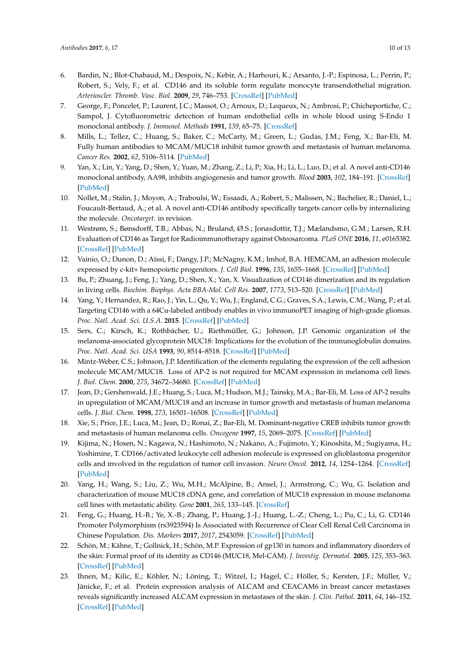- <span id="page-9-10"></span>6. Bardin, N.; Blot-Chabaud, M.; Despoix, N.; Kebir, A.; Harhouri, K.; Arsanto, J.-P.; Espinosa, L.; Perrin, P.; Robert, S.; Vely, F.; et al. CD146 and its soluble form regulate monocyte transendothelial migration. *Arterioscler. Thromb. Vasc. Biol.* **2009**, *29*, 746–753. [\[CrossRef\]](http://dx.doi.org/10.1161/ATVBAHA.108.183251) [\[PubMed\]](http://www.ncbi.nlm.nih.gov/pubmed/19229070)
- <span id="page-9-11"></span>7. George, F.; Poncelet, P.; Laurent, J.C.; Massot, O.; Arnoux, D.; Lequeux, N.; Ambrosi, P.; Chicheportiche, C.; Sampol, J. Cytofluorometric detection of human endothelial cells in whole blood using S-Endo 1 monoclonal antibody. *J. Immunol. Methods* **1991**, *139*, 65–75. [\[CrossRef\]](http://dx.doi.org/10.1016/0022-1759(91)90352-G)
- <span id="page-9-12"></span>8. Mills, L.; Tellez, C.; Huang, S.; Baker, C.; McCarty, M.; Green, L.; Gudas, J.M.; Feng, X.; Bar-Eli, M. Fully human antibodies to MCAM/MUC18 inhibit tumor growth and metastasis of human melanoma. *Cancer Res.* **2002**, *62*, 5106–5114. [\[PubMed\]](http://www.ncbi.nlm.nih.gov/pubmed/12208768)
- <span id="page-9-13"></span>9. Yan, X.; Lin, Y.; Yang, D.; Shen, Y.; Yuan, M.; Zhang, Z.; Li, P.; Xia, H.; Li, L.; Luo, D.; et al. A novel anti-CD146 monoclonal antibody, AA98, inhibits angiogenesis and tumor growth. *Blood* **2003**, *102*, 184–191. [\[CrossRef\]](http://dx.doi.org/10.1182/blood-2002-04-1004) [\[PubMed\]](http://www.ncbi.nlm.nih.gov/pubmed/12609848)
- <span id="page-9-14"></span>10. Nollet, M.; Stalin, J.; Moyon, A.; Traboulsi, W.; Essaadi, A.; Robert, S.; Malissen, N.; Bachelier, R.; Daniel, L.; Foucault-Bertaud, A.; et al. A novel anti-CD146 antibody specifically targets cancer cells by internalizing the molecule. *Oncotarget*. in revision.
- <span id="page-9-15"></span>11. Westrøm, S.; Bønsdorff, T.B.; Abbas, N.; Bruland, Ø.S.; Jonasdottir, T.J.; Mælandsmo, G.M.; Larsen, R.H. Evaluation of CD146 as Target for Radioimmunotherapy against Osteosarcoma. *PLoS ONE* **2016**, *11*, e0165382. [\[CrossRef\]](http://dx.doi.org/10.1371/journal.pone.0165382) [\[PubMed\]](http://www.ncbi.nlm.nih.gov/pubmed/27776176)
- 12. Vainio, O.; Dunon, D.; Aïssi, F.; Dangy, J.P.; McNagny, K.M.; Imhof, B.A. HEMCAM, an adhesion molecule expressed by c-kit+ hemopoietic progenitors. *J. Cell Biol.* **1996**, *135*, 1655–1668. [\[CrossRef\]](http://dx.doi.org/10.1083/jcb.135.6.1655) [\[PubMed\]](http://www.ncbi.nlm.nih.gov/pubmed/8978830)
- 13. Bu, P.; Zhuang, J.; Feng, J.; Yang, D.; Shen, X.; Yan, X. Visualization of CD146 dimerization and its regulation in living cells. *Biochim. Biophys. Acta BBA-Mol. Cell Res.* **2007**, *1773*, 513–520. [\[CrossRef\]](http://dx.doi.org/10.1016/j.bbamcr.2007.01.009) [\[PubMed\]](http://www.ncbi.nlm.nih.gov/pubmed/17320204)
- <span id="page-9-0"></span>14. Yang, Y.; Hernandez, R.; Rao, J.; Yin, L.; Qu, Y.; Wu, J.; England, C.G.; Graves, S.A.; Lewis, C.M.; Wang, P.; et al. Targeting CD146 with a 64Cu-labeled antibody enables in vivo immunoPET imaging of high-grade gliomas. *Proc. Natl. Acad. Sci. U.S.A.* **2015**. [\[CrossRef\]](http://dx.doi.org/10.1073/pnas.1502648112) [\[PubMed\]](http://www.ncbi.nlm.nih.gov/pubmed/26553993)
- <span id="page-9-1"></span>15. Sers, C.; Kirsch, K.; Rothbächer, U.; Riethmüller, G.; Johnson, J.P. Genomic organization of the melanoma-associated glycoprotein MUC18: Implications for the evolution of the immunoglobulin domains. *Proc. Natl. Acad. Sci. USA* **1993**, *90*, 8514–8518. [\[CrossRef\]](http://dx.doi.org/10.1073/pnas.90.18.8514) [\[PubMed\]](http://www.ncbi.nlm.nih.gov/pubmed/8378324)
- <span id="page-9-2"></span>16. Mintz-Weber, C.S.; Johnson, J.P. Identification of the elements regulating the expression of the cell adhesion molecule MCAM/MUC18. Loss of AP-2 is not required for MCAM expression in melanoma cell lines. *J. Biol. Chem.* **2000**, *275*, 34672–34680. [\[CrossRef\]](http://dx.doi.org/10.1074/jbc.M003812200) [\[PubMed\]](http://www.ncbi.nlm.nih.gov/pubmed/10938273)
- <span id="page-9-3"></span>17. Jean, D.; Gershenwald, J.E.; Huang, S.; Luca, M.; Hudson, M.J.; Tainsky, M.A.; Bar-Eli, M. Loss of AP-2 results in upregulation of MCAM/MUC18 and an increase in tumor growth and metastasis of human melanoma cells. *J. Biol. Chem.* **1998**, *273*, 16501–16508. [\[CrossRef\]](http://dx.doi.org/10.1074/jbc.273.26.16501) [\[PubMed\]](http://www.ncbi.nlm.nih.gov/pubmed/9632718)
- <span id="page-9-4"></span>18. Xie, S.; Price, J.E.; Luca, M.; Jean, D.; Ronai, Z.; Bar-Eli, M. Dominant-negative CREB inhibits tumor growth and metastasis of human melanoma cells. *Oncogene* **1997**, *15*, 2069–2075. [\[CrossRef\]](http://dx.doi.org/10.1038/sj.onc.1201358) [\[PubMed\]](http://www.ncbi.nlm.nih.gov/pubmed/9366524)
- <span id="page-9-5"></span>19. Kijima, N.; Hosen, N.; Kagawa, N.; Hashimoto, N.; Nakano, A.; Fujimoto, Y.; Kinoshita, M.; Sugiyama, H.; Yoshimine, T. CD166/activated leukocyte cell adhesion molecule is expressed on glioblastoma progenitor cells and involved in the regulation of tumor cell invasion. *Neuro Oncol.* **2012**, *14*, 1254–1264. [\[CrossRef\]](http://dx.doi.org/10.1093/neuonc/nor202) [\[PubMed\]](http://www.ncbi.nlm.nih.gov/pubmed/22166264)
- <span id="page-9-6"></span>20. Yang, H.; Wang, S.; Liu, Z.; Wu, M.H.; McAlpine, B.; Ansel, J.; Armstrong, C.; Wu, G. Isolation and characterization of mouse MUC18 cDNA gene, and correlation of MUC18 expression in mouse melanoma cell lines with metastatic ability. *Gene* **2001**, *265*, 133–145. [\[CrossRef\]](http://dx.doi.org/10.1016/S0378-1119(01)00349-3)
- <span id="page-9-7"></span>21. Feng, G.; Huang, H.-B.; Ye, X.-B.; Zhang, P.; Huang, J.-J.; Huang, L.-Z.; Cheng, L.; Pu, C.; Li, G. CD146 Promoter Polymorphism (rs3923594) Is Associated with Recurrence of Clear Cell Renal Cell Carcinoma in Chinese Population. *Dis. Markers* **2017**, *2017*, 2543059. [\[CrossRef\]](http://dx.doi.org/10.1155/2017/2543059) [\[PubMed\]](http://www.ncbi.nlm.nih.gov/pubmed/28626293)
- <span id="page-9-8"></span>22. Schön, M.; Kähne, T.; Gollnick, H.; Schön, M.P. Expression of gp130 in tumors and inflammatory disorders of the skin: Formal proof of its identity as CD146 (MUC18, Mel-CAM). *J. Investig. Dermatol.* **2005**, *125*, 353–363. [\[CrossRef\]](http://dx.doi.org/10.1111/j.0022-202X.2005.23808.x) [\[PubMed\]](http://www.ncbi.nlm.nih.gov/pubmed/16098047)
- <span id="page-9-9"></span>23. Ihnen, M.; Kilic, E.; Köhler, N.; Löning, T.; Witzel, I.; Hagel, C.; Höller, S.; Kersten, J.F.; Müller, V.; Jänicke, F.; et al. Protein expression analysis of ALCAM and CEACAM6 in breast cancer metastases reveals significantly increased ALCAM expression in metastases of the skin. *J. Clin. Pathol.* **2011**, *64*, 146–152. [\[CrossRef\]](http://dx.doi.org/10.1136/jcp.2010.082602) [\[PubMed\]](http://www.ncbi.nlm.nih.gov/pubmed/21262777)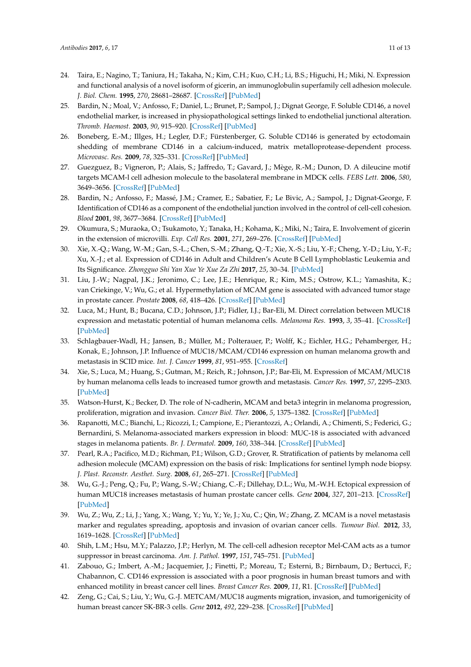- <span id="page-10-0"></span>24. Taira, E.; Nagino, T.; Taniura, H.; Takaha, N.; Kim, C.H.; Kuo, C.H.; Li, B.S.; Higuchi, H.; Miki, N. Expression and functional analysis of a novel isoform of gicerin, an immunoglobulin superfamily cell adhesion molecule. *J. Biol. Chem.* **1995**, *270*, 28681–28687. [\[CrossRef\]](http://dx.doi.org/10.1074/jbc.270.48.28681) [\[PubMed\]](http://www.ncbi.nlm.nih.gov/pubmed/7499388)
- <span id="page-10-1"></span>25. Bardin, N.; Moal, V.; Anfosso, F.; Daniel, L.; Brunet, P.; Sampol, J.; Dignat George, F. Soluble CD146, a novel endothelial marker, is increased in physiopathological settings linked to endothelial junctional alteration. *Thromb. Haemost.* **2003**, *90*, 915–920. [\[CrossRef\]](http://dx.doi.org/10.1160/TH02-11-0285) [\[PubMed\]](http://www.ncbi.nlm.nih.gov/pubmed/14597988)
- <span id="page-10-2"></span>26. Boneberg, E.-M.; Illges, H.; Legler, D.F.; Fürstenberger, G. Soluble CD146 is generated by ectodomain shedding of membrane CD146 in a calcium-induced, matrix metalloprotease-dependent process. *Microvasc. Res.* **2009**, *78*, 325–331. [\[CrossRef\]](http://dx.doi.org/10.1016/j.mvr.2009.06.012) [\[PubMed\]](http://www.ncbi.nlm.nih.gov/pubmed/19615385)
- <span id="page-10-3"></span>27. Guezguez, B.; Vigneron, P.; Alais, S.; Jaffredo, T.; Gavard, J.; Mège, R.-M.; Dunon, D. A dileucine motif targets MCAM-l cell adhesion molecule to the basolateral membrane in MDCK cells. *FEBS Lett.* **2006**, *580*, 3649–3656. [\[CrossRef\]](http://dx.doi.org/10.1016/j.febslet.2006.05.048) [\[PubMed\]](http://www.ncbi.nlm.nih.gov/pubmed/16756976)
- <span id="page-10-4"></span>28. Bardin, N.; Anfosso, F.; Massé, J.M.; Cramer, E.; Sabatier, F.; Le Bivic, A.; Sampol, J.; Dignat-George, F. Identification of CD146 as a component of the endothelial junction involved in the control of cell-cell cohesion. *Blood* **2001**, *98*, 3677–3684. [\[CrossRef\]](http://dx.doi.org/10.1182/blood.V98.13.3677) [\[PubMed\]](http://www.ncbi.nlm.nih.gov/pubmed/11739172)
- <span id="page-10-5"></span>29. Okumura, S.; Muraoka, O.; Tsukamoto, Y.; Tanaka, H.; Kohama, K.; Miki, N.; Taira, E. Involvement of gicerin in the extension of microvilli. *Exp. Cell Res.* **2001**, *271*, 269–276. [\[CrossRef\]](http://dx.doi.org/10.1006/excr.2001.5393) [\[PubMed\]](http://www.ncbi.nlm.nih.gov/pubmed/11716539)
- <span id="page-10-6"></span>30. Xie, X.-Q.; Wang, W.-M.; Gan, S.-L.; Chen, S.-M.; Zhang, Q.-T.; Xie, X.-S.; Liu, Y.-F.; Cheng, Y.-D.; Liu, Y.-F.; Xu, X.-J.; et al. Expression of CD146 in Adult and Children's Acute B Cell Lymphoblastic Leukemia and Its Significance. *Zhongguo Shi Yan Xue Ye Xue Za Zhi* **2017**, *25*, 30–34. [\[PubMed\]](http://www.ncbi.nlm.nih.gov/pubmed/28245371)
- <span id="page-10-7"></span>31. Liu, J.-W.; Nagpal, J.K.; Jeronimo, C.; Lee, J.E.; Henrique, R.; Kim, M.S.; Ostrow, K.L.; Yamashita, K.; van Criekinge, V.; Wu, G.; et al. Hypermethylation of MCAM gene is associated with advanced tumor stage in prostate cancer. *Prostate* **2008**, *68*, 418–426. [\[CrossRef\]](http://dx.doi.org/10.1002/pros.20709) [\[PubMed\]](http://www.ncbi.nlm.nih.gov/pubmed/18196513)
- <span id="page-10-8"></span>32. Luca, M.; Hunt, B.; Bucana, C.D.; Johnson, J.P.; Fidler, I.J.; Bar-Eli, M. Direct correlation between MUC18 expression and metastatic potential of human melanoma cells. *Melanoma Res.* **1993**, *3*, 35–41. [\[CrossRef\]](http://dx.doi.org/10.1097/00008390-199304000-00006) [\[PubMed\]](http://www.ncbi.nlm.nih.gov/pubmed/8471835)
- <span id="page-10-9"></span>33. Schlagbauer-Wadl, H.; Jansen, B.; Müller, M.; Polterauer, P.; Wolff, K.; Eichler, H.G.; Pehamberger, H.; Konak, E.; Johnson, J.P. Influence of MUC18/MCAM/CD146 expression on human melanoma growth and metastasis in SCID mice. *Int. J. Cancer* **1999**, *81*, 951–955. [\[CrossRef\]](http://dx.doi.org/10.1002/(SICI)1097-0215(19990611)81:6<951::AID-IJC18>3.0.CO;2-V)
- <span id="page-10-10"></span>34. Xie, S.; Luca, M.; Huang, S.; Gutman, M.; Reich, R.; Johnson, J.P.; Bar-Eli, M. Expression of MCAM/MUC18 by human melanoma cells leads to increased tumor growth and metastasis. *Cancer Res.* **1997**, *57*, 2295–2303. [\[PubMed\]](http://www.ncbi.nlm.nih.gov/pubmed/9187135)
- <span id="page-10-11"></span>35. Watson-Hurst, K.; Becker, D. The role of N-cadherin, MCAM and beta3 integrin in melanoma progression, proliferation, migration and invasion. *Cancer Biol. Ther.* **2006**, *5*, 1375–1382. [\[CrossRef\]](http://dx.doi.org/10.4161/cbt.5.10.3241) [\[PubMed\]](http://www.ncbi.nlm.nih.gov/pubmed/16969099)
- <span id="page-10-12"></span>36. Rapanotti, M.C.; Bianchi, L.; Ricozzi, I.; Campione, E.; Pierantozzi, A.; Orlandi, A.; Chimenti, S.; Federici, G.; Bernardini, S. Melanoma-associated markers expression in blood: MUC-18 is associated with advanced stages in melanoma patients. *Br. J. Dermatol.* **2009**, *160*, 338–344. [\[CrossRef\]](http://dx.doi.org/10.1111/j.1365-2133.2008.08929.x) [\[PubMed\]](http://www.ncbi.nlm.nih.gov/pubmed/19067715)
- <span id="page-10-13"></span>37. Pearl, R.A.; Pacifico, M.D.; Richman, P.I.; Wilson, G.D.; Grover, R. Stratification of patients by melanoma cell adhesion molecule (MCAM) expression on the basis of risk: Implications for sentinel lymph node biopsy. *J. Plast. Reconstr. Aesthet. Surg.* **2008**, *61*, 265–271. [\[CrossRef\]](http://dx.doi.org/10.1016/j.bjps.2007.04.010) [\[PubMed\]](http://www.ncbi.nlm.nih.gov/pubmed/17569608)
- <span id="page-10-14"></span>38. Wu, G.-J.; Peng, Q.; Fu, P.; Wang, S.-W.; Chiang, C.-F.; Dillehay, D.L.; Wu, M.-W.H. Ectopical expression of human MUC18 increases metastasis of human prostate cancer cells. *Gene* **2004**, *327*, 201–213. [\[CrossRef\]](http://dx.doi.org/10.1016/j.gene.2003.11.018) [\[PubMed\]](http://www.ncbi.nlm.nih.gov/pubmed/14980717)
- <span id="page-10-15"></span>39. Wu, Z.; Wu, Z.; Li, J.; Yang, X.; Wang, Y.; Yu, Y.; Ye, J.; Xu, C.; Qin, W.; Zhang, Z. MCAM is a novel metastasis marker and regulates spreading, apoptosis and invasion of ovarian cancer cells. *Tumour Biol.* **2012**, *33*, 1619–1628. [\[CrossRef\]](http://dx.doi.org/10.1007/s13277-012-0417-0) [\[PubMed\]](http://www.ncbi.nlm.nih.gov/pubmed/22610942)
- <span id="page-10-16"></span>40. Shih, L.M.; Hsu, M.Y.; Palazzo, J.P.; Herlyn, M. The cell-cell adhesion receptor Mel-CAM acts as a tumor suppressor in breast carcinoma. *Am. J. Pathol.* **1997**, *151*, 745–751. [\[PubMed\]](http://www.ncbi.nlm.nih.gov/pubmed/9284823)
- <span id="page-10-17"></span>41. Zabouo, G.; Imbert, A.-M.; Jacquemier, J.; Finetti, P.; Moreau, T.; Esterni, B.; Birnbaum, D.; Bertucci, F.; Chabannon, C. CD146 expression is associated with a poor prognosis in human breast tumors and with enhanced motility in breast cancer cell lines. *Breast Cancer Res.* **2009**, *11*, R1. [\[CrossRef\]](http://dx.doi.org/10.1186/bcr2215) [\[PubMed\]](http://www.ncbi.nlm.nih.gov/pubmed/19123925)
- <span id="page-10-18"></span>42. Zeng, G.; Cai, S.; Liu, Y.; Wu, G.-J. METCAM/MUC18 augments migration, invasion, and tumorigenicity of human breast cancer SK-BR-3 cells. *Gene* **2012**, *492*, 229–238. [\[CrossRef\]](http://dx.doi.org/10.1016/j.gene.2011.10.024) [\[PubMed\]](http://www.ncbi.nlm.nih.gov/pubmed/22057013)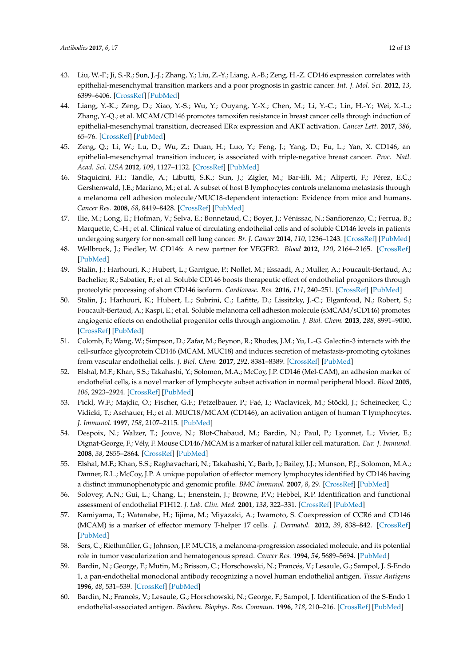- <span id="page-11-0"></span>43. Liu, W.-F.; Ji, S.-R.; Sun, J.-J.; Zhang, Y.; Liu, Z.-Y.; Liang, A.-B.; Zeng, H.-Z. CD146 expression correlates with epithelial-mesenchymal transition markers and a poor prognosis in gastric cancer. *Int. J. Mol. Sci.* **2012**, *13*, 6399–6406. [\[CrossRef\]](http://dx.doi.org/10.3390/ijms13056399) [\[PubMed\]](http://www.ncbi.nlm.nih.gov/pubmed/22754372)
- <span id="page-11-1"></span>44. Liang, Y.-K.; Zeng, D.; Xiao, Y.-S.; Wu, Y.; Ouyang, Y.-X.; Chen, M.; Li, Y.-C.; Lin, H.-Y.; Wei, X.-L.; Zhang, Y.-Q.; et al. MCAM/CD146 promotes tamoxifen resistance in breast cancer cells through induction of epithelial-mesenchymal transition, decreased ERα expression and AKT activation. *Cancer Lett.* **2017**, *386*, 65–76. [\[CrossRef\]](http://dx.doi.org/10.1016/j.canlet.2016.11.004) [\[PubMed\]](http://www.ncbi.nlm.nih.gov/pubmed/27838413)
- <span id="page-11-2"></span>45. Zeng, Q.; Li, W.; Lu, D.; Wu, Z.; Duan, H.; Luo, Y.; Feng, J.; Yang, D.; Fu, L.; Yan, X. CD146, an epithelial-mesenchymal transition inducer, is associated with triple-negative breast cancer. *Proc. Natl. Acad. Sci. USA* **2012**, *109*, 1127–1132. [\[CrossRef\]](http://dx.doi.org/10.1073/pnas.1111053108) [\[PubMed\]](http://www.ncbi.nlm.nih.gov/pubmed/22210108)
- <span id="page-11-3"></span>46. Staquicini, F.I.; Tandle, A.; Libutti, S.K.; Sun, J.; Zigler, M.; Bar-Eli, M.; Aliperti, F.; Pérez, E.C.; Gershenwald, J.E.; Mariano, M.; et al. A subset of host B lymphocytes controls melanoma metastasis through a melanoma cell adhesion molecule/MUC18-dependent interaction: Evidence from mice and humans. *Cancer Res.* **2008**, *68*, 8419–8428. [\[CrossRef\]](http://dx.doi.org/10.1158/0008-5472.CAN-08-1242) [\[PubMed\]](http://www.ncbi.nlm.nih.gov/pubmed/18922915)
- <span id="page-11-4"></span>47. Ilie, M.; Long, E.; Hofman, V.; Selva, E.; Bonnetaud, C.; Boyer, J.; Vénissac, N.; Sanfiorenzo, C.; Ferrua, B.; Marquette, C.-H.; et al. Clinical value of circulating endothelial cells and of soluble CD146 levels in patients undergoing surgery for non-small cell lung cancer. *Br. J. Cancer* **2014**, *110*, 1236–1243. [\[CrossRef\]](http://dx.doi.org/10.1038/bjc.2014.11) [\[PubMed\]](http://www.ncbi.nlm.nih.gov/pubmed/24473396)
- <span id="page-11-5"></span>48. Wellbrock, J.; Fiedler, W. CD146: A new partner for VEGFR2. *Blood* **2012**, *120*, 2164–2165. [\[CrossRef\]](http://dx.doi.org/10.1182/blood-2012-07-439646) [\[PubMed\]](http://www.ncbi.nlm.nih.gov/pubmed/22977083)
- <span id="page-11-8"></span>49. Stalin, J.; Harhouri, K.; Hubert, L.; Garrigue, P.; Nollet, M.; Essaadi, A.; Muller, A.; Foucault-Bertaud, A.; Bachelier, R.; Sabatier, F.; et al. Soluble CD146 boosts therapeutic effect of endothelial progenitors through proteolytic processing of short CD146 isoform. *Cardiovasc. Res.* **2016**, *111*, 240–251. [\[CrossRef\]](http://dx.doi.org/10.1093/cvr/cvw096) [\[PubMed\]](http://www.ncbi.nlm.nih.gov/pubmed/27170199)
- <span id="page-11-6"></span>50. Stalin, J.; Harhouri, K.; Hubert, L.; Subrini, C.; Lafitte, D.; Lissitzky, J.-C.; Elganfoud, N.; Robert, S.; Foucault-Bertaud, A.; Kaspi, E.; et al. Soluble melanoma cell adhesion molecule (sMCAM/sCD146) promotes angiogenic effects on endothelial progenitor cells through angiomotin. *J. Biol. Chem.* **2013**, *288*, 8991–9000. [\[CrossRef\]](http://dx.doi.org/10.1074/jbc.M112.446518) [\[PubMed\]](http://www.ncbi.nlm.nih.gov/pubmed/23389031)
- <span id="page-11-7"></span>51. Colomb, F.; Wang, W.; Simpson, D.; Zafar, M.; Beynon, R.; Rhodes, J.M.; Yu, L.-G. Galectin-3 interacts with the cell-surface glycoprotein CD146 (MCAM, MUC18) and induces secretion of metastasis-promoting cytokines from vascular endothelial cells. *J. Biol. Chem.* **2017**, *292*, 8381–8389. [\[CrossRef\]](http://dx.doi.org/10.1074/jbc.M117.783431) [\[PubMed\]](http://www.ncbi.nlm.nih.gov/pubmed/28364041)
- <span id="page-11-9"></span>52. Elshal, M.F.; Khan, S.S.; Takahashi, Y.; Solomon, M.A.; McCoy, J.P. CD146 (Mel-CAM), an adhesion marker of endothelial cells, is a novel marker of lymphocyte subset activation in normal peripheral blood. *Blood* **2005**, *106*, 2923–2924. [\[CrossRef\]](http://dx.doi.org/10.1182/blood-2005-06-2307) [\[PubMed\]](http://www.ncbi.nlm.nih.gov/pubmed/16204154)
- <span id="page-11-10"></span>53. Pickl, W.F.; Majdic, O.; Fischer, G.F.; Petzelbauer, P.; Faé, I.; Waclavicek, M.; Stöckl, J.; Scheinecker, C.; Vidicki, T.; Aschauer, H.; et al. MUC18/MCAM (CD146), an activation antigen of human T lymphocytes. *J. Immunol.* **1997**, *158*, 2107–2115. [\[PubMed\]](http://www.ncbi.nlm.nih.gov/pubmed/9036955)
- <span id="page-11-11"></span>54. Despoix, N.; Walzer, T.; Jouve, N.; Blot-Chabaud, M.; Bardin, N.; Paul, P.; Lyonnet, L.; Vivier, E.; Dignat-George, F.; Vély, F. Mouse CD146/MCAM is a marker of natural killer cell maturation. *Eur. J. Immunol.* **2008**, *38*, 2855–2864. [\[CrossRef\]](http://dx.doi.org/10.1002/eji.200838469) [\[PubMed\]](http://www.ncbi.nlm.nih.gov/pubmed/18958886)
- <span id="page-11-12"></span>55. Elshal, M.F.; Khan, S.S.; Raghavachari, N.; Takahashi, Y.; Barb, J.; Bailey, J.J.; Munson, P.J.; Solomon, M.A.; Danner, R.L.; McCoy, J.P. A unique population of effector memory lymphocytes identified by CD146 having a distinct immunophenotypic and genomic profile. *BMC Immunol.* **2007**, *8*, 29. [\[CrossRef\]](http://dx.doi.org/10.1186/1471-2172-8-29) [\[PubMed\]](http://www.ncbi.nlm.nih.gov/pubmed/17999761)
- <span id="page-11-13"></span>56. Solovey, A.N.; Gui, L.; Chang, L.; Enenstein, J.; Browne, P.V.; Hebbel, R.P. Identification and functional assessment of endothelial P1H12. *J. Lab. Clin. Med.* **2001**, *138*, 322–331. [\[CrossRef\]](http://dx.doi.org/10.1067/mlc.2001.118519) [\[PubMed\]](http://www.ncbi.nlm.nih.gov/pubmed/11709656)
- <span id="page-11-14"></span>57. Kamiyama, T.; Watanabe, H.; Iijima, M.; Miyazaki, A.; Iwamoto, S. Coexpression of CCR6 and CD146 (MCAM) is a marker of effector memory T-helper 17 cells. *J. Dermatol.* **2012**, *39*, 838–842. [\[CrossRef\]](http://dx.doi.org/10.1111/j.1346-8138.2012.01544.x) [\[PubMed\]](http://www.ncbi.nlm.nih.gov/pubmed/22486269)
- <span id="page-11-15"></span>58. Sers, C.; Riethmüller, G.; Johnson, J.P. MUC18, a melanoma-progression associated molecule, and its potential role in tumor vascularization and hematogenous spread. *Cancer Res.* **1994**, *54*, 5689–5694. [\[PubMed\]](http://www.ncbi.nlm.nih.gov/pubmed/7923217)
- <span id="page-11-16"></span>59. Bardin, N.; George, F.; Mutin, M.; Brisson, C.; Horschowski, N.; Francés, V.; Lesaule, G.; Sampol, J. S-Endo 1, a pan-endothelial monoclonal antibody recognizing a novel human endothelial antigen. *Tissue Antigens* **1996**, *48*, 531–539. [\[CrossRef\]](http://dx.doi.org/10.1111/j.1399-0039.1996.tb02666.x) [\[PubMed\]](http://www.ncbi.nlm.nih.gov/pubmed/8988535)
- <span id="page-11-17"></span>60. Bardin, N.; Francès, V.; Lesaule, G.; Horschowski, N.; George, F.; Sampol, J. Identification of the S-Endo 1 endothelial-associated antigen. *Biochem. Biophys. Res. Commun.* **1996**, *218*, 210–216. [\[CrossRef\]](http://dx.doi.org/10.1006/bbrc.1996.0037) [\[PubMed\]](http://www.ncbi.nlm.nih.gov/pubmed/8573133)